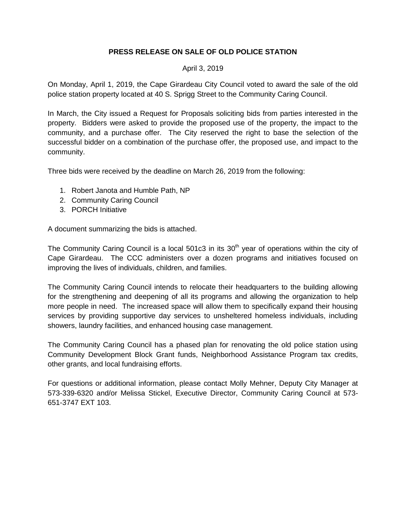## **PRESS RELEASE ON SALE OF OLD POLICE STATION**

## April 3, 2019

On Monday, April 1, 2019, the Cape Girardeau City Council voted to award the sale of the old police station property located at 40 S. Sprigg Street to the Community Caring Council.

In March, the City issued a Request for Proposals soliciting bids from parties interested in the property. Bidders were asked to provide the proposed use of the property, the impact to the community, and a purchase offer. The City reserved the right to base the selection of the successful bidder on a combination of the purchase offer, the proposed use, and impact to the community.

Three bids were received by the deadline on March 26, 2019 from the following:

- 1. Robert Janota and Humble Path, NP
- 2. Community Caring Council
- 3. PORCH Initiative

A document summarizing the bids is attached.

The Community Caring Council is a local 501c3 in its  $30<sup>th</sup>$  year of operations within the city of Cape Girardeau. The CCC administers over a dozen programs and initiatives focused on improving the lives of individuals, children, and families.

The Community Caring Council intends to relocate their headquarters to the building allowing for the strengthening and deepening of all its programs and allowing the organization to help more people in need. The increased space will allow them to specifically expand their housing services by providing supportive day services to unsheltered homeless individuals, including showers, laundry facilities, and enhanced housing case management.

The Community Caring Council has a phased plan for renovating the old police station using Community Development Block Grant funds, Neighborhood Assistance Program tax credits, other grants, and local fundraising efforts.

For questions or additional information, please contact Molly Mehner, Deputy City Manager at 573-339-6320 and/or Melissa Stickel, Executive Director, Community Caring Council at 573- 651-3747 EXT 103.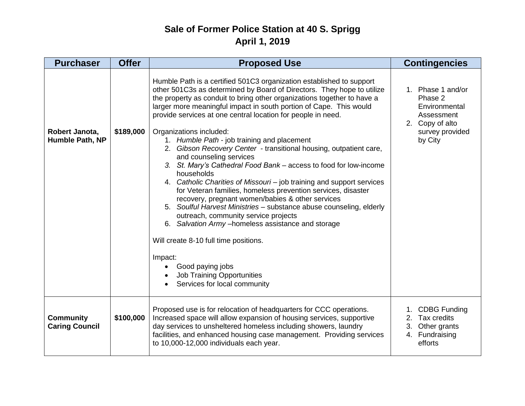## **Sale of Former Police Station at 40 S. Sprigg April 1, 2019**

| <b>Purchaser</b>                          | <b>Offer</b> | <b>Proposed Use</b>                                                                                                                                                                                                                                                                                                                                                                                                                                                                                                                                                                                                                                                                                                                                                                                                                                                                                                                                                                                                                                                                                                                           | <b>Contingencies</b>                                                                                         |
|-------------------------------------------|--------------|-----------------------------------------------------------------------------------------------------------------------------------------------------------------------------------------------------------------------------------------------------------------------------------------------------------------------------------------------------------------------------------------------------------------------------------------------------------------------------------------------------------------------------------------------------------------------------------------------------------------------------------------------------------------------------------------------------------------------------------------------------------------------------------------------------------------------------------------------------------------------------------------------------------------------------------------------------------------------------------------------------------------------------------------------------------------------------------------------------------------------------------------------|--------------------------------------------------------------------------------------------------------------|
| Robert Janota,<br>Humble Path, NP         | \$189,000    | Humble Path is a certified 501C3 organization established to support<br>other 501C3s as determined by Board of Directors. They hope to utilize<br>the property as conduit to bring other organizations together to have a<br>larger more meaningful impact in south portion of Cape. This would<br>provide services at one central location for people in need.<br>Organizations included:<br>1. Humble Path - job training and placement<br>2. Gibson Recovery Center - transitional housing, outpatient care,<br>and counseling services<br>3. St. Mary's Cathedral Food Bank - access to food for low-income<br>households<br>4. Catholic Charities of Missouri – job training and support services<br>for Veteran families, homeless prevention services, disaster<br>recovery, pregnant women/babies & other services<br>5. Soulful Harvest Ministries - substance abuse counseling, elderly<br>outreach, community service projects<br>6. Salvation Army - homeless assistance and storage<br>Will create 8-10 full time positions.<br>Impact:<br>Good paying jobs<br><b>Job Training Opportunities</b><br>Services for local community | 1. Phase 1 and/or<br>Phase 2<br>Environmental<br>Assessment<br>2. Copy of alto<br>survey provided<br>by City |
| <b>Community</b><br><b>Caring Council</b> | \$100,000    | Proposed use is for relocation of headquarters for CCC operations.<br>Increased space will allow expansion of housing services, supportive<br>day services to unsheltered homeless including showers, laundry<br>facilities, and enhanced housing case management. Providing services<br>to 10,000-12,000 individuals each year.                                                                                                                                                                                                                                                                                                                                                                                                                                                                                                                                                                                                                                                                                                                                                                                                              | 1. CDBG Funding<br>2. Tax credits<br>3. Other grants<br>4. Fundraising<br>efforts                            |